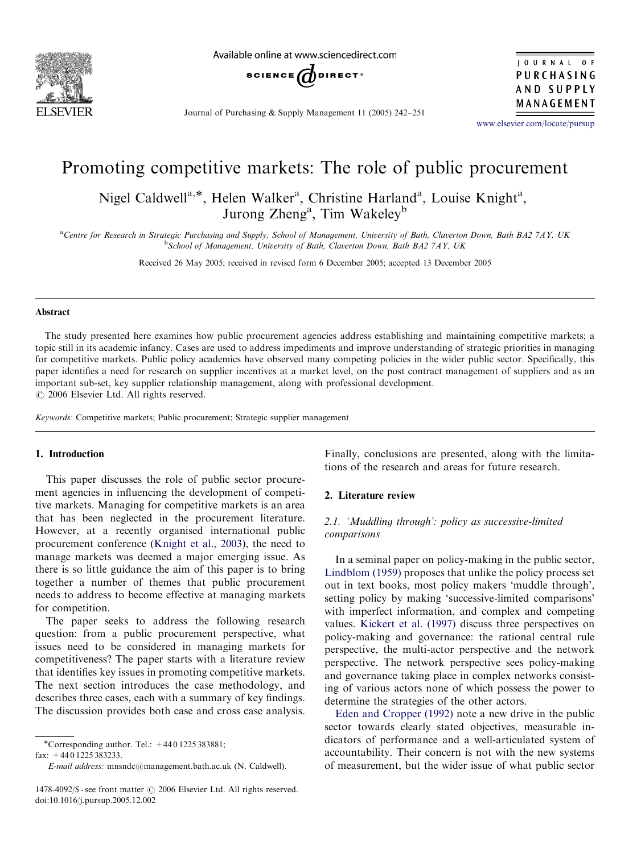

Available online at www.sciencedirect.com



JOURNAL OF PURCHASING AND SUPPLY MANAGEMENT

Journal of Purchasing & Supply Management 11 (2005) 242–251

<www.elsevier.com/locate/pursup>

## Promoting competitive markets: The role of public procurement

Nigel Caldwell<sup>a,\*</sup>, Helen Walker<sup>a</sup>, Christine Harland<sup>a</sup>, Louise Knight<sup>a</sup>, Jurong Zheng<sup>a</sup>, Tim Wakeley<sup>b</sup>

a<br>Centre for Research in Strategic Purchasing and Supply, School of Management, University of Bath, Claverton Down, Bath BA2 7AY, UK <sup>b</sup>School of Management, University of Bath, Claverton Down, Bath BA2 7AY, UK

Received 26 May 2005; received in revised form 6 December 2005; accepted 13 December 2005

#### Abstract

The study presented here examines how public procurement agencies address establishing and maintaining competitive markets; a topic still in its academic infancy. Cases are used to address impediments and improve understanding of strategic priorities in managing for competitive markets. Public policy academics have observed many competing policies in the wider public sector. Specifically, this paper identifies a need for research on supplier incentives at a market level, on the post contract management of suppliers and as an important sub-set, key supplier relationship management, along with professional development.  $\odot$  2006 Elsevier Ltd. All rights reserved.

Keywords: Competitive markets; Public procurement; Strategic supplier management

## 1. Introduction

This paper discusses the role of public sector procurement agencies in influencing the development of competitive markets. Managing for competitive markets is an area that has been neglected in the procurement literature. However, at a recently organised international public procurement conference [\(Knight et al., 2003](#page--1-0)), the need to manage markets was deemed a major emerging issue. As there is so little guidance the aim of this paper is to bring together a number of themes that public procurement needs to address to become effective at managing markets for competition.

The paper seeks to address the following research question: from a public procurement perspective, what issues need to be considered in managing markets for competitiveness? The paper starts with a literature review that identifies key issues in promoting competitive markets. The next section introduces the case methodology, and describes three cases, each with a summary of key findings. The discussion provides both case and cross case analysis.

fax: +44 0 1225 383233.

E-mail address: mnsndc@management.bath.ac.uk (N. Caldwell).

Finally, conclusions are presented, along with the limitations of the research and areas for future research.

## 2. Literature review

## 2.1. 'Muddling through': policy as successive-limited comparisons

In a seminal paper on policy-making in the public sector, [Lindblom \(1959\)](#page--1-0) proposes that unlike the policy process set out in text books, most policy makers 'muddle through', setting policy by making 'successive-limited comparisons' with imperfect information, and complex and competing values. [Kickert et al. \(1997\)](#page--1-0) discuss three perspectives on policy-making and governance: the rational central rule perspective, the multi-actor perspective and the network perspective. The network perspective sees policy-making and governance taking place in complex networks consisting of various actors none of which possess the power to determine the strategies of the other actors.

[Eden and Cropper \(1992\)](#page--1-0) note a new drive in the public sector towards clearly stated objectives, measurable indicators of performance and a well-articulated system of accountability. Their concern is not with the new systems of measurement, but the wider issue of what public sector

<sup>\*</sup>Corresponding author. Tel.:  $+4401225383881$ ;

 $1478-4092$ /\$ - see front matter  $\odot$  2006 Elsevier Ltd. All rights reserved. doi:10.1016/j.pursup.2005.12.002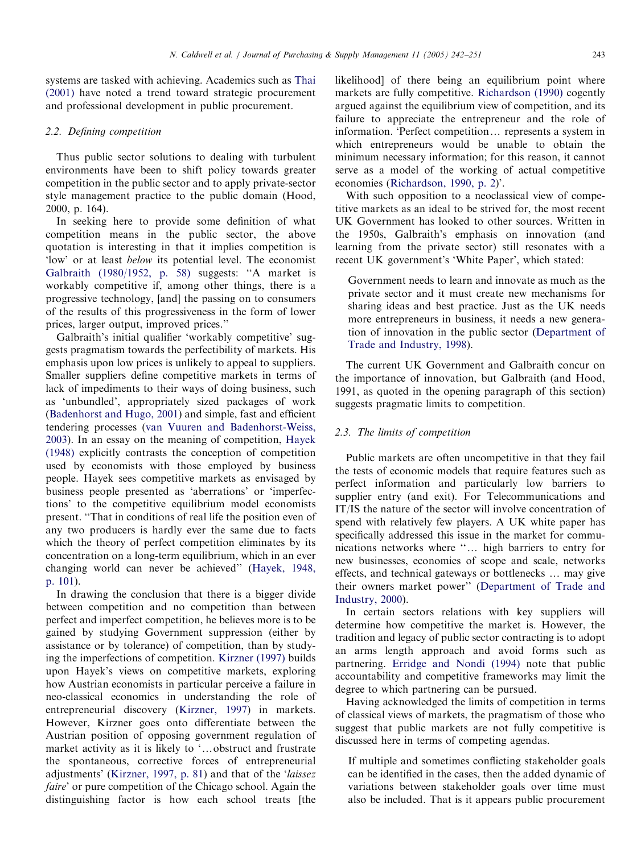systems are tasked with achieving. Academics such as [Thai](#page--1-0) [\(2001\)](#page--1-0) have noted a trend toward strategic procurement and professional development in public procurement.

## 2.2. Defining competition

Thus public sector solutions to dealing with turbulent environments have been to shift policy towards greater competition in the public sector and to apply private-sector style management practice to the public domain (Hood, 2000, p. 164).

In seeking here to provide some definition of what competition means in the public sector, the above quotation is interesting in that it implies competition is 'low' or at least below its potential level. The economist [Galbraith \(1980/1952, p. 58\)](#page--1-0) suggests: ''A market is workably competitive if, among other things, there is a progressive technology, [and] the passing on to consumers of the results of this progressiveness in the form of lower prices, larger output, improved prices.''

Galbraith's initial qualifier 'workably competitive' suggests pragmatism towards the perfectibility of markets. His emphasis upon low prices is unlikely to appeal to suppliers. Smaller suppliers define competitive markets in terms of lack of impediments to their ways of doing business, such as 'unbundled', appropriately sized packages of work ([Badenhorst and Hugo, 2001\)](#page--1-0) and simple, fast and efficient tendering processes [\(van Vuuren and Badenhorst-Weiss,](#page--1-0) [2003](#page--1-0)). In an essay on the meaning of competition, [Hayek](#page--1-0) [\(1948\)](#page--1-0) explicitly contrasts the conception of competition used by economists with those employed by business people. Hayek sees competitive markets as envisaged by business people presented as 'aberrations' or 'imperfections' to the competitive equilibrium model economists present. ''That in conditions of real life the position even of any two producers is hardly ever the same due to facts which the theory of perfect competition eliminates by its concentration on a long-term equilibrium, which in an ever changing world can never be achieved'' [\(Hayek, 1948,](#page--1-0) [p. 101](#page--1-0)).

In drawing the conclusion that there is a bigger divide between competition and no competition than between perfect and imperfect competition, he believes more is to be gained by studying Government suppression (either by assistance or by tolerance) of competition, than by studying the imperfections of competition. [Kirzner \(1997\)](#page--1-0) builds upon Hayek's views on competitive markets, exploring how Austrian economists in particular perceive a failure in neo-classical economics in understanding the role of entrepreneurial discovery [\(Kirzner, 1997\)](#page--1-0) in markets. However, Kirzner goes onto differentiate between the Austrian position of opposing government regulation of market activity as it is likely to '...obstruct and frustrate the spontaneous, corrective forces of entrepreneurial adjustments' ([Kirzner, 1997, p. 81](#page--1-0)) and that of the 'laissez faire' or pure competition of the Chicago school. Again the distinguishing factor is how each school treats [the

likelihood] of there being an equilibrium point where markets are fully competitive. [Richardson \(1990\)](#page--1-0) cogently argued against the equilibrium view of competition, and its failure to appreciate the entrepreneur and the role of information. 'Perfect competition... represents a system in which entrepreneurs would be unable to obtain the minimum necessary information; for this reason, it cannot serve as a model of the working of actual competitive economies ([Richardson, 1990, p. 2\)](#page--1-0)'.

With such opposition to a neoclassical view of competitive markets as an ideal to be strived for, the most recent UK Government has looked to other sources. Written in the 1950s, Galbraith's emphasis on innovation (and learning from the private sector) still resonates with a recent UK government's 'White Paper', which stated:

Government needs to learn and innovate as much as the private sector and it must create new mechanisms for sharing ideas and best practice. Just as the UK needs more entrepreneurs in business, it needs a new generation of innovation in the public sector [\(Department of](#page--1-0) [Trade and Industry, 1998\)](#page--1-0).

The current UK Government and Galbraith concur on the importance of innovation, but Galbraith (and Hood, 1991, as quoted in the opening paragraph of this section) suggests pragmatic limits to competition.

#### 2.3. The limits of competition

Public markets are often uncompetitive in that they fail the tests of economic models that require features such as perfect information and particularly low barriers to supplier entry (and exit). For Telecommunications and IT/IS the nature of the sector will involve concentration of spend with relatively few players. A UK white paper has specifically addressed this issue in the market for communications networks where "... high barriers to entry for new businesses, economies of scope and scale, networks effects, and technical gateways or bottlenecks ... may give their owners market power'' [\(Department of Trade and](#page--1-0) [Industry, 2000\)](#page--1-0).

In certain sectors relations with key suppliers will determine how competitive the market is. However, the tradition and legacy of public sector contracting is to adopt an arms length approach and avoid forms such as partnering. [Erridge and Nondi \(1994\)](#page--1-0) note that public accountability and competitive frameworks may limit the degree to which partnering can be pursued.

Having acknowledged the limits of competition in terms of classical views of markets, the pragmatism of those who suggest that public markets are not fully competitive is discussed here in terms of competing agendas.

If multiple and sometimes conflicting stakeholder goals can be identified in the cases, then the added dynamic of variations between stakeholder goals over time must also be included. That is it appears public procurement